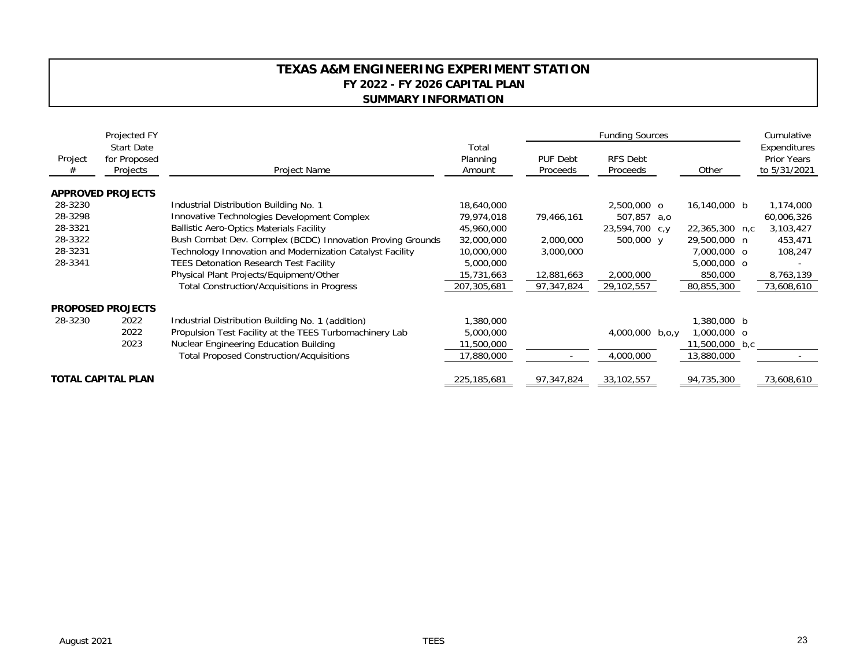## **TEXAS A&M ENGINEERING EXPERIMENT STATION FY 2022 - FY 2026 CAPITAL PLAN SUMMARY INFORMATION**

|                           | Projected FY                                  |                                                            |                             | <b>Funding Sources</b>      |                             |                |  | Cumulative                                         |
|---------------------------|-----------------------------------------------|------------------------------------------------------------|-----------------------------|-----------------------------|-----------------------------|----------------|--|----------------------------------------------------|
| Project<br>#              | <b>Start Date</b><br>for Proposed<br>Projects | Project Name                                               | Total<br>Planning<br>Amount | <b>PUF Debt</b><br>Proceeds | <b>RFS Debt</b><br>Proceeds | Other          |  | Expenditures<br><b>Prior Years</b><br>to 5/31/2021 |
|                           | <b>APPROVED PROJECTS</b>                      |                                                            |                             |                             |                             |                |  |                                                    |
| 28-3230                   |                                               | Industrial Distribution Building No. 1                     | 18,640,000                  |                             | 2,500,000 o                 | 16,140,000 b   |  | 1,174,000                                          |
| 28-3298                   |                                               | Innovative Technologies Development Complex                | 79,974,018                  | 79,466,161                  | 507,857 a,o                 |                |  | 60,006,326                                         |
| 28-3321                   |                                               | <b>Ballistic Aero-Optics Materials Facility</b>            | 45,960,000                  |                             | 23,594,700 c,y              | 22,365,300 n,c |  | 3,103,427                                          |
| 28-3322                   |                                               | Bush Combat Dev. Complex (BCDC) Innovation Proving Grounds | 32,000,000                  | 2,000,000                   | 500,000 y                   | 29,500,000 n   |  | 453,471                                            |
| 28-3231                   |                                               | Technology Innovation and Modernization Catalyst Facility  | 10,000,000                  | 3,000,000                   |                             | 7,000,000 o    |  | 108,247                                            |
| 28-3341                   |                                               | <b>TEES Detonation Research Test Facility</b>              | 5,000,000                   |                             |                             | 5,000,000 o    |  |                                                    |
|                           |                                               | Physical Plant Projects/Equipment/Other                    | 15,731,663                  | 12,881,663                  | 2,000,000                   | 850,000        |  | 8,763,139                                          |
|                           |                                               | <b>Total Construction/Acquisitions in Progress</b>         | 207,305,681                 | 97,347,824                  | 29,102,557                  | 80,855,300     |  | 73,608,610                                         |
|                           | <b>PROPOSED PROJECTS</b>                      |                                                            |                             |                             |                             |                |  |                                                    |
| 28-3230                   | 2022                                          | Industrial Distribution Building No. 1 (addition)          | 1,380,000                   |                             |                             | 1,380,000 b    |  |                                                    |
|                           | 2022                                          | Propulsion Test Facility at the TEES Turbomachinery Lab    | 5,000,000                   |                             | 4,000,000 b,o,y             | 1,000,000 o    |  |                                                    |
|                           | 2023                                          | Nuclear Engineering Education Building                     | 11,500,000                  |                             |                             | 11,500,000 b,c |  |                                                    |
|                           |                                               | <b>Total Proposed Construction/Acquisitions</b>            | 17,880,000                  |                             | 4,000,000                   | 13,880,000     |  |                                                    |
| <b>TOTAL CAPITAL PLAN</b> |                                               |                                                            | 225, 185, 681               | 97,347,824                  | 33,102,557                  | 94,735,300     |  | 73,608,610                                         |